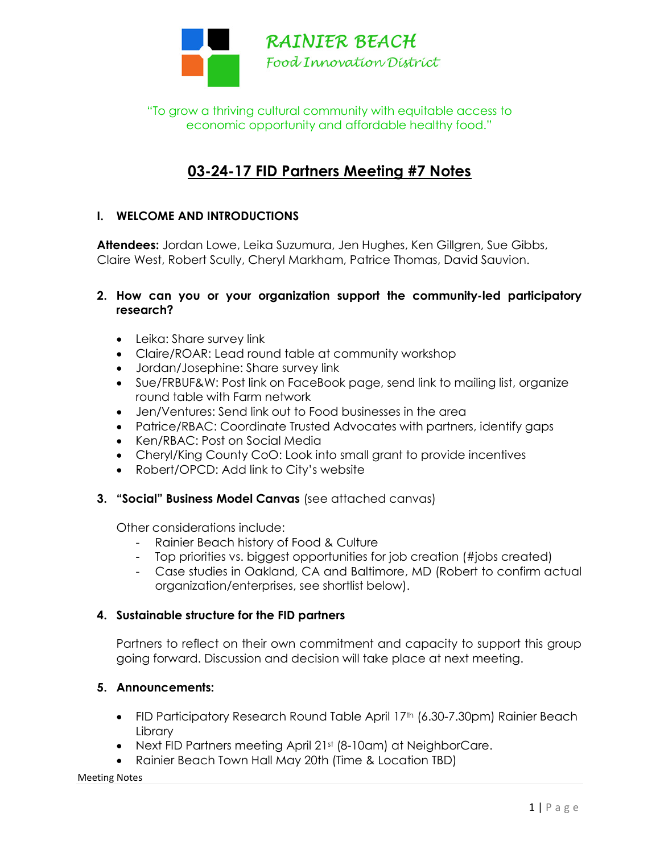

"To grow a thriving cultural community with equitable access to economic opportunity and affordable healthy food."

# 03-24-17 FID Partners Meeting #7 Notes

### I. WELCOME AND INTRODUCTIONS

Attendees: Jordan Lowe, Leika Suzumura, Jen Hughes, Ken Gillgren, Sue Gibbs, Claire West, Robert Scully, Cheryl Markham, Patrice Thomas, David Sauvion.

#### 2. How can you or your organization support the community-led participatory research?

- Leika: Share survey link
- Claire/ROAR: Lead round table at community workshop
- Jordan/Josephine: Share survey link
- Sue/FRBUF&W: Post link on FaceBook page, send link to mailing list, organize round table with Farm network
- Jen/Ventures: Send link out to Food businesses in the area
- Patrice/RBAC: Coordinate Trusted Advocates with partners, identify gaps
- Ken/RBAC: Post on Social Media
- Cheryl/King County CoO: Look into small grant to provide incentives
- Robert/OPCD: Add link to City's website
- 3. "Social" Business Model Canvas (see attached canvas)

Other considerations include:

- Rainier Beach history of Food & Culture
- Top priorities vs. biggest opportunities for job creation (#jobs created)
- Case studies in Oakland, CA and Baltimore, MD (Robert to confirm actual organization/enterprises, see shortlist below).

#### 4. Sustainable structure for the FID partners

Partners to reflect on their own commitment and capacity to support this group going forward. Discussion and decision will take place at next meeting.

#### 5. Announcements:

- FID Participatory Research Round Table April 17<sup>th</sup> (6.30-7.30pm) Rainier Beach **Library**
- Next FID Partners meeting April 21st (8-10am) at NeighborCare.
- Rainier Beach Town Hall May 20th (Time & Location TBD)